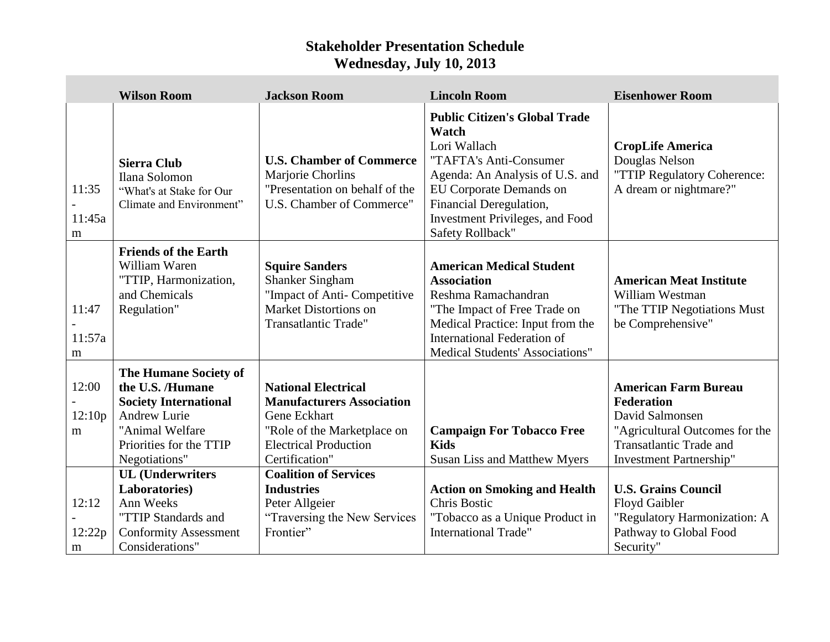## **Stakeholder Presentation Schedule Wednesday, July 10, 2013**

 $\overline{\phantom{a}}$ 

|                      | <b>Wilson Room</b>                                                                                                                                       | <b>Jackson Room</b>                                                                                                                                             | <b>Lincoln Room</b>                                                                                                                                                                                                                                   | <b>Eisenhower Room</b>                                                                                                                                                    |
|----------------------|----------------------------------------------------------------------------------------------------------------------------------------------------------|-----------------------------------------------------------------------------------------------------------------------------------------------------------------|-------------------------------------------------------------------------------------------------------------------------------------------------------------------------------------------------------------------------------------------------------|---------------------------------------------------------------------------------------------------------------------------------------------------------------------------|
| 11:35<br>11:45a<br>m | <b>Sierra Club</b><br>Ilana Solomon<br>"What's at Stake for Our<br>Climate and Environment"                                                              | <b>U.S. Chamber of Commerce</b><br>Marjorie Chorlins<br>"Presentation on behalf of the<br>U.S. Chamber of Commerce"                                             | <b>Public Citizen's Global Trade</b><br>Watch<br>Lori Wallach<br>"TAFTA's Anti-Consumer<br>Agenda: An Analysis of U.S. and<br><b>EU Corporate Demands on</b><br>Financial Deregulation,<br><b>Investment Privileges, and Food</b><br>Safety Rollback" | <b>CropLife America</b><br>Douglas Nelson<br>"TTIP Regulatory Coherence:<br>A dream or nightmare?"                                                                        |
| 11:47<br>11:57a<br>m | <b>Friends of the Earth</b><br>William Waren<br>"TTIP, Harmonization,<br>and Chemicals<br>Regulation"                                                    | <b>Squire Sanders</b><br><b>Shanker Singham</b><br>"Impact of Anti- Competitive<br><b>Market Distortions on</b><br><b>Transatlantic Trade"</b>                  | <b>American Medical Student</b><br><b>Association</b><br>Reshma Ramachandran<br>"The Impact of Free Trade on<br>Medical Practice: Input from the<br><b>International Federation of</b><br><b>Medical Students' Associations"</b>                      | <b>American Meat Institute</b><br>William Westman<br>"The TTIP Negotiations Must<br>be Comprehensive"                                                                     |
| 12:00<br>12:10p<br>m | The Humane Society of<br>the U.S. /Humane<br><b>Society International</b><br>Andrew Lurie<br>"Animal Welfare<br>Priorities for the TTIP<br>Negotiations" | <b>National Electrical</b><br><b>Manufacturers Association</b><br>Gene Eckhart<br>"Role of the Marketplace on<br><b>Electrical Production</b><br>Certification" | <b>Campaign For Tobacco Free</b><br><b>Kids</b><br>Susan Liss and Matthew Myers                                                                                                                                                                       | <b>American Farm Bureau</b><br><b>Federation</b><br>David Salmonsen<br>"Agricultural Outcomes for the<br><b>Transatlantic Trade and</b><br><b>Investment Partnership"</b> |
| 12:12<br>12:22p<br>m | <b>UL</b> (Underwriters<br>Laboratories)<br>Ann Weeks<br>"TTIP Standards and<br><b>Conformity Assessment</b><br>Considerations"                          | <b>Coalition of Services</b><br><b>Industries</b><br>Peter Allgeier<br>"Traversing the New Services"<br>Frontier"                                               | <b>Action on Smoking and Health</b><br><b>Chris Bostic</b><br>"Tobacco as a Unique Product in<br><b>International Trade"</b>                                                                                                                          | <b>U.S. Grains Council</b><br><b>Floyd Gaibler</b><br>"Regulatory Harmonization: A<br>Pathway to Global Food<br>Security"                                                 |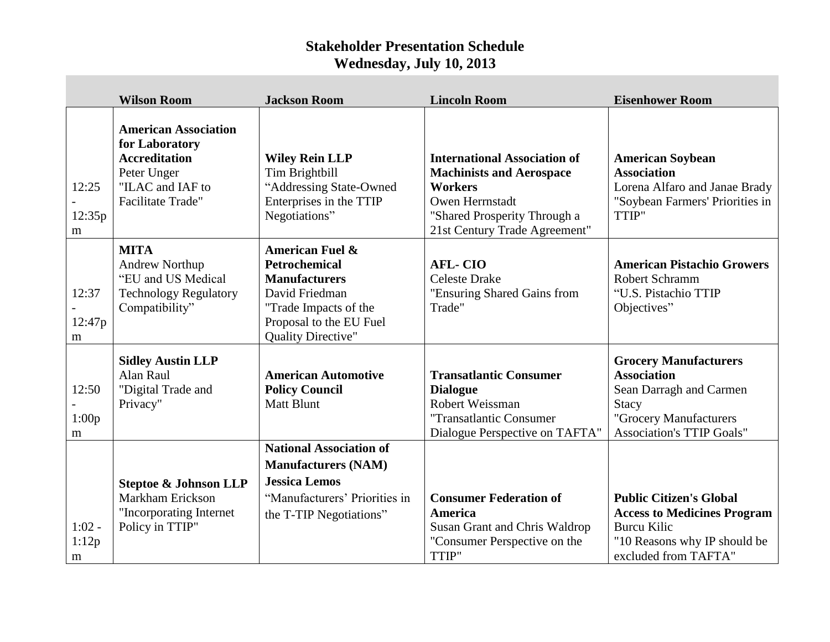## **Stakeholder Presentation Schedule Wednesday, July 10, 2013**

|                        | <b>Wilson Room</b>                                                                                                                   | <b>Jackson Room</b>                                                                                                                                                           | <b>Lincoln Room</b>                                                                                                                                                          | <b>Eisenhower Room</b>                                                                                                                                      |
|------------------------|--------------------------------------------------------------------------------------------------------------------------------------|-------------------------------------------------------------------------------------------------------------------------------------------------------------------------------|------------------------------------------------------------------------------------------------------------------------------------------------------------------------------|-------------------------------------------------------------------------------------------------------------------------------------------------------------|
| 12:25<br>12:35p<br>m   | <b>American Association</b><br>for Laboratory<br><b>Accreditation</b><br>Peter Unger<br>"ILAC and IAF to<br><b>Facilitate Trade"</b> | <b>Wiley Rein LLP</b><br>Tim Brightbill<br>"Addressing State-Owned<br>Enterprises in the TTIP<br>Negotiations"                                                                | <b>International Association of</b><br><b>Machinists and Aerospace</b><br><b>Workers</b><br>Owen Herrnstadt<br>"Shared Prosperity Through a<br>21st Century Trade Agreement" | <b>American Soybean</b><br><b>Association</b><br>Lorena Alfaro and Janae Brady<br>"Soybean Farmers' Priorities in<br>TTIP"                                  |
| 12:37<br>12:47p<br>m   | <b>MITA</b><br><b>Andrew Northup</b><br>"EU and US Medical<br><b>Technology Regulatory</b><br>Compatibility"                         | <b>American Fuel &amp;</b><br><b>Petrochemical</b><br><b>Manufacturers</b><br>David Friedman<br>"Trade Impacts of the<br>Proposal to the EU Fuel<br><b>Quality Directive"</b> | <b>AFL-CIO</b><br><b>Celeste Drake</b><br>"Ensuring Shared Gains from<br>Trade"                                                                                              | <b>American Pistachio Growers</b><br>Robert Schramm<br>"U.S. Pistachio TTIP<br>Objectives"                                                                  |
| 12:50<br>1:00p<br>m    | <b>Sidley Austin LLP</b><br>Alan Raul<br>"Digital Trade and<br>Privacy"                                                              | <b>American Automotive</b><br><b>Policy Council</b><br><b>Matt Blunt</b>                                                                                                      | <b>Transatlantic Consumer</b><br><b>Dialogue</b><br>Robert Weissman<br>"Transatlantic Consumer<br>Dialogue Perspective on TAFTA"                                             | <b>Grocery Manufacturers</b><br><b>Association</b><br>Sean Darragh and Carmen<br><b>Stacy</b><br>"Grocery Manufacturers<br><b>Association's TTIP Goals"</b> |
| $1:02 -$<br>1:12p<br>m | <b>Steptoe &amp; Johnson LLP</b><br>Markham Erickson<br>"Incorporating Internet<br>Policy in TTIP"                                   | <b>National Association of</b><br><b>Manufacturers (NAM)</b><br><b>Jessica Lemos</b><br>"Manufacturers' Priorities in<br>the T-TIP Negotiations"                              | <b>Consumer Federation of</b><br><b>America</b><br>Susan Grant and Chris Waldrop<br>"Consumer Perspective on the<br>TTIP"                                                    | <b>Public Citizen's Global</b><br><b>Access to Medicines Program</b><br><b>Burcu Kilic</b><br>"10 Reasons why IP should be<br>excluded from TAFTA"          |